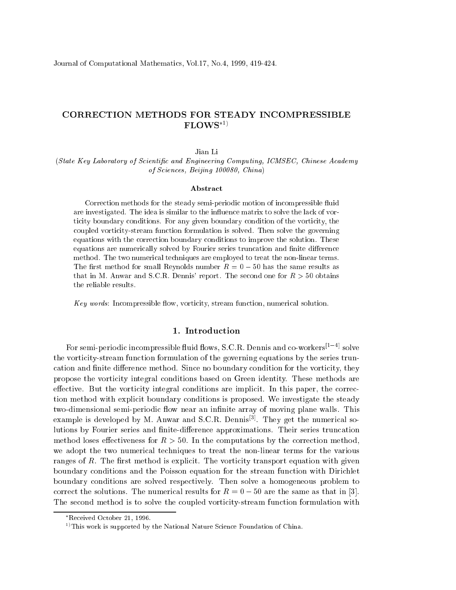# CORRECTION METHODS FOR STEADY INCOMPRESSIBLE  $\textbf{FLOWS}^{*1)}$

Jian Li

(State Key Laboratory of Scientific and Engineering Computing, ICMSEC, Chinese Academy of S
ien
es, Beijing 100080, China)

#### **Abstract**

Correction methods for the steady semi-periodic motion of incompressible fluid are investigated. The idea is similar to the influence matrix to solve the lack of vorticity boundary conditions. For any given boundary condition of the vorticity, the oupled vorti
ity-stream fun
tion formulation is solved. Then solve the governing equations with the orre
tion boundary onditions to improve the solution. These equations are numerically solved by Fourier series truncation and finite difference method. The two numerical techniques are employed to treat the non-linear terms. The first method for small Reynolds number  $R = 0 - 50$  has the same results as that in M. Anwar and S.C.R. Dennis' report. The second one for  $R > 50$  obtains the reliable results.

Key words: Incompressible flow, vorticity, stream function, numerical solution.

#### 1. Introdu
tion

For semi-periodic incompressible fluid flows, S.C.R. Dennis and co-workers<sup>[1-4]</sup> solve the vorticity-stream function formulation of the governing equations by the series truncation and finite difference method. Since no boundary condition for the vorticity, they propose the vorti
ity integral onditions based on Green identity. These methods are effective. But the vorticity integral conditions are implicit. In this paper, the correction method with explicit boundary conditions is proposed. We investigate the steady two-dimensional semi-periodic flow near an infinite array of moving plane walls. This example is developed by M. Anwar and S.C.R. Dennis $\mathbb{S}$ . They get the numerical solutions by Fourier series and finite-difference approximations. Their series truncation method loses effectiveness for  $R > 50$ . In the computations by the correction method, we adopt the two numerical techniques to treat the non-linear terms for the various ranges of  $R$ . The first method is explicit. The vorticity transport equation with given boundary conditions and the Poisson equation for the stream function with Dirichlet boundary onditions are solved respe
tively. Then solve a homogeneous problem to correct the solutions. The numerical results for  $R = 0 - 50$  are the same as that in [3]. The second method is to solve the coupled vorticity-stream function formulation with

Re
eived O
tober 21, 1996.

 $\gamma$ This work is supported by the National Nature Science Foundation of China.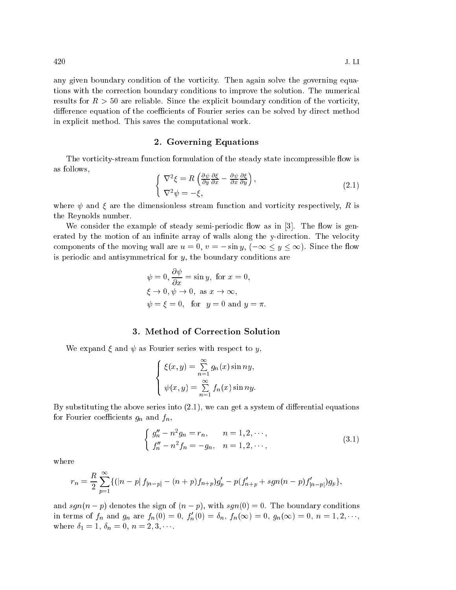any given boundary condition of the vorticity. Then again solve the governing equations with the correction boundary conditions to improve the solution. The numerical results for  $R > 50$  are reliable. Since the explicit boundary condition of the vorticity, difference equation of the coefficients of Fourier series can be solved by direct method in expli
it method. This saves the omputational work.

#### 2. Governing Equations

The vorticity-stream function formulation of the steady state incompressible flow is as follows,

$$
\begin{cases}\n\nabla^2 \xi = R \left( \frac{\partial \psi}{\partial y} \frac{\partial \xi}{\partial x} - \frac{\partial \psi}{\partial x} \frac{\partial \xi}{\partial y} \right), \\
\nabla^2 \psi = -\xi,\n\end{cases}
$$
\n(2.1)

where  $\psi$  and  $\xi$  are the dimensionless stream function and vorticity respectively, R is the Reynolds number.

We consider the example of steady semi-periodic flow as in  $[3]$ . The flow is generated by the motion of an infinite array of walls along the y-direction. The velocity components of the moving wall are  $u = 0$ ,  $v = -\sin y$ ,  $(-\infty \le y \le \infty)$ . Since the flow is periodic and antisymmetrical for  $y$ , the boundary conditions are

$$
\psi = 0, \frac{\partial \psi}{\partial x} = \sin y, \text{ for } x = 0,
$$
  

$$
\xi \to 0, \psi \to 0, \text{ as } x \to \infty,
$$
  

$$
\psi = \xi = 0, \text{ for } y = 0 \text{ and } y = \pi.
$$

### 3. Method of Corre
tion Solution

We expand  $\xi$  and  $\psi$  as Fourier series with respect to y,

$$
\begin{cases} \xi(x,y) = \sum_{n=1}^{\infty} g_n(x) \sin ny, \\ \psi(x,y) = \sum_{n=1}^{\infty} f_n(x) \sin ny. \end{cases}
$$

By substituting the above series into  $(2.1)$ , we can get a system of differential equations for Fourier coefficients  $g_n$  and  $f_n$ ,

$$
\begin{cases}\ng_n'' - n^2 g_n = r_n, & n = 1, 2, \cdots, \\
f_n'' - n^2 f_n = -g_n, & n = 1, 2, \cdots,\n\end{cases}
$$
\n(3.1)

where

$$
r_n = \frac{R}{2} \sum_{p=1}^{\infty} \{ (|n-p|f_{|n-p|} - (n+p)f_{n+p})g'_p - p(f'_{n+p} + sgn(n-p)f'_{|n-p|})g_p \},\
$$

and  $sgn(n-p)$  denotes the sign of  $(n-p)$ , with  $sgn(0) = 0$ . The boundary conditions in terms of  $f_n$  and  $g_n$  are  $f_n(0) = 0$ ,  $f_n(0) = a_n$ ,  $f_n(\infty) = 0$ ,  $g_n(\infty) = 0$ ,  $n = 1, 2, \dots$ , where  $\delta_1 = 1, \, \delta_n = 0, \, n = 2, 3, \cdots$ .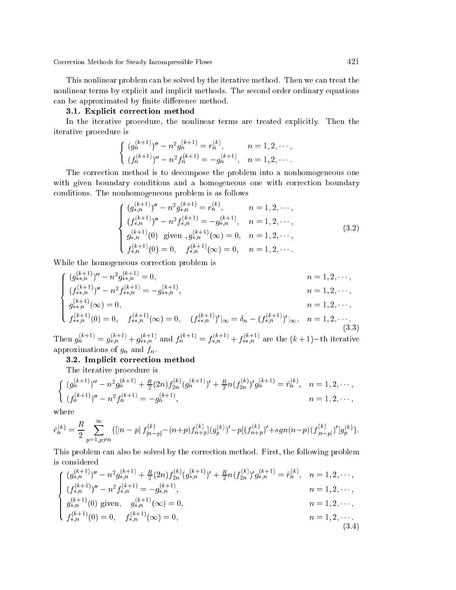Corre
tion Methods for Steady In
ompressible Flows 421

This nonlinear problem an be solved by the iterative method. Then we an treat the nonlinear terms by explicit and implicit methods. The second order ordinary equations can be approximated by finite difference method.

#### 3.1. Explicit correction method

In the iterative procedure, the nonlinear terms are treated explicitly. Then the iterative pro
edure is

$$
\begin{cases}\n(g_n^{(k+1)})'' - n^2 g_n^{(k+1)} = r_n^{(k)}, & n = 1, 2, \dots, \\
(f_n^{(k+1)})'' - n^2 f_n^{(k+1)} = -g_n^{(k+1)}, & n = 1, 2, \dots.\n\end{cases}
$$

The orre
tion method is to de
ompose the problem into a nonhomogeneous one with given boundary conditions and a homogeneous one with correction boundary onditions. The nonhomogeneous problem is as follows

$$
\begin{cases}\n(g_{*,n}^{(k+1)})'' - n^2 g_{*,n}^{(k+1)} = r_n^{(k)}, & n = 1, 2, \cdots, \\
(f_{*,n}^{(k+1)})'' - n^2 f_{*,n}^{(k+1)} = -g_{*,n}^{(k+1)}, & n = 1, 2, \cdots, \\
g_{*,n}^{(k+1)}(0) \text{ given }, g_{*,n}^{(k+1)}(\infty) = 0, & n = 1, 2, \cdots, \\
f_{*,n}^{(k+1)}(0) = 0, & f_{*,n}^{(k+1)}(\infty) = 0, & n = 1, 2, \cdots.\n\end{cases}
$$
\n(3.2)

While the homogeneous correction problem is

$$
\begin{cases}\n(g_{*,n}^{(k+1)})'' - n^2 g_{*,n}^{(k+1)} = 0, & n = 1, 2, \cdots, \\
(f_{*,n}^{(k+1)})'' - n^2 f_{*,n}^{(k+1)} = -g_{*,n}^{(k+1)}, & n = 1, 2, \cdots, \\
g_{*,n}^{(k+1)}(\infty) = 0, & n = 1, 2, \cdots, \\
f_{*,n}^{(k+1)}(0) = 0, & f_{*,n}^{(k+1)}(\infty) = 0, & (f_{*,n}^{(k+1)})' \mid \infty = \delta_n - (f_{*,n}^{(k+1)})' \mid \infty, & n = 1, 2, \cdots.\n\end{cases}
$$

(3.3) Then  $g_n^{(k+1)} = g_{n,n}^{(k+1)} + g_{n,n}^{(k+1)}$  and  $f_n^{(k+1)} = f_{n,n}^{(k+1)} + f_{n,n}^{(k+1)}$  are the  $(k+1)$ -th iterative approximations of  $g_n$  and  $f_n$ .

#### 3.2. Implicit correction method

The iterative pro
edure is

$$
\begin{cases}\n(g_n^{(k+1)})'' - n^2 g_n^{(k+1)} + \frac{R}{2} (2n) f_{2n}^{(k)} (g_n^{(k+1)})' + \frac{R}{2} n (f_{2n}^{(k)})' g_n^{(k+1)} = \tilde{r}_n^{(k)}, & n = 1, 2, \cdots, \\
(f_n^{(k+1)})'' - n^2 f_n^{(k+1)} = -g_n^{(k+1)}, & n = 1, 2, \cdots,\n\end{cases}
$$

where

$$
\tilde{r}_n^{(k)} = \frac{R}{2} \sum_{p=1, p \neq n}^{\infty} \{ [|n-p| f_{|n-p|}^{(k)} - (n+p) f_{n+p}^{(k)} ](g_p^{(k)})' - p [(f_{n+p}^{(k)})' + sgn(n-p) (f_{|n-p|}^{(k)})' ]g_p^{(k)} \}.
$$

This problem an also be solved by the orre
tion method. First, the following problem is onsidered

$$
\begin{cases}\n(g_{*,n}^{(k+1)})'' - n^2 g_{*,n}^{(k+1)} + \frac{R}{2} (2n) f_{2n}^{(k)} (g_{*,n}^{(k+1)})' + \frac{R}{2} n (f_{2n}^{(k)})' g_{*,n}^{(k+1)} = \tilde{r}_n^{(k)}, & n = 1, 2, \cdots, \\
(f_{*,n}^{(k+1)})'' - n^2 f_{*,n}^{(k+1)} = -g_{*,n}^{(k+1)}, & n = 1, 2, \cdots, \\
g_{*,n}^{(k+1)}(0) \text{ given, } g_{*,n}^{(k+1)}(\infty) = 0, & n = 1, 2, \cdots, \\
f_{*,n}^{(k+1)}(0) = 0, & f_{*,n}^{(k+1)}(\infty) = 0, & n = 1, 2, \cdots.\n\end{cases}
$$
\n(3.4)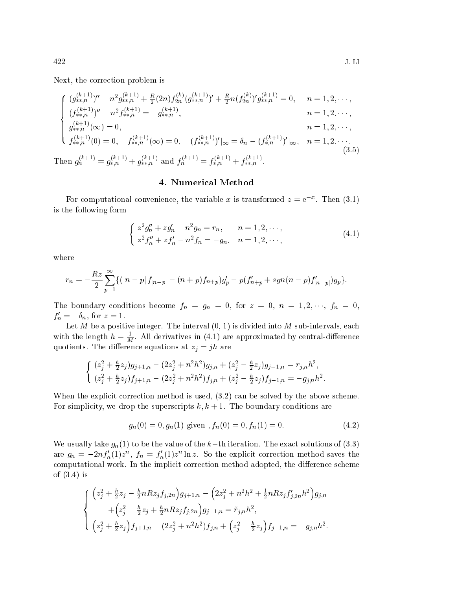Next, the correction problem is

$$
\begin{cases}\n(g_{*,n}^{(k+1)})'' - n^2 g_{*,n}^{(k+1)} + \frac{R}{2} (2n) f_{2n}^{(k)} (g_{*,n}^{(k+1)})' + \frac{R}{2} n (f_{2n}^{(k)})' g_{*,n}^{(k+1)} = 0, & n = 1, 2, \cdots, \\
(f_{*,n}^{(k+1)})'' - n^2 f_{*,n}^{(k+1)} = -g_{*,n}^{(k+1)}, & n = 1, 2, \cdots, \\
g_{*,n}^{(k+1)} (\infty) = 0, & n = 1, 2, \cdots, \\
f_{*,n}^{(k+1)} (0) = 0, & f_{*,n}^{(k+1)} (\infty) = 0, & (f_{*,n}^{(k+1)})' |_{\infty} = \delta_n - (f_{*,n}^{(k+1)})' |_{\infty}, & n = 1, 2, \cdots, \\
f_{*,n}^{(k+1)} (0) = 0, & f_{*,n}^{(k+1)} (\infty) = 0, & (f_{*,n}^{(k+1)})' |_{\infty} = \delta_n - (f_{*,n}^{(k+1)})' |_{\infty}, & n = 1, 2, \cdots, \\
f_{*,n}^{(k+1)} = g_{*,n}^{(k+1)} + g_{*,n}^{(k+1)} \text{ and } f_{n}^{(k+1)} = f_{*,n}^{(k+1)} + f_{*,n}^{(k+1)}.\n\end{cases} \tag{3.5}
$$

### 4. Numeri
al Method

For computational convenience, the variable x is transformed  $z = e^{-z}$ . Then (3.1) is the following form

$$
\begin{cases}\nz^2 g_n'' + z g_n' - n^2 g_n = r_n, & n = 1, 2, \cdots, \\
z^2 f_n'' + z f_n' - n^2 f_n = -g_n, & n = 1, 2, \cdots,\n\end{cases}
$$
\n(4.1)

where

$$
r_n = -\frac{Rz}{2} \sum_{p=1}^{\infty} \{(|n-p|f_{|n-p|}-(n+p)f_{n+p})g'_p - p(f'_{n+p}+sgn(n-p)f'_{|n-p|})g_p\}.
$$

The boundary conditions become  $f_n = g_n = 0$ , for  $z = 0$ ,  $n = 1, 2, \dots$ ,  $f_n = 0$ ,  $J_n = -e_n$ , for  $z = 1$ .

Let  $M$  be a positive integer. The interval  $(0, 1)$  is divided into  $M$  sub-intervals, each with the length  $h = \frac{1}{M}$ . All derivatives in (4.1) are approximated by central-difference quotients. The difference equations at  $z_j = jh$  are

$$
\begin{cases}\n(z_j^2 + \frac{h}{2}z_j)g_{j+1,n} - (2z_j^2 + n^2h^2)g_{j,n} + (z_j^2 - \frac{h}{2}z_j)g_{j-1,n} = r_{j,n}h^2, \\
(z_j^2 + \frac{h}{2}z_j)f_{j+1,n} - (2z_j^2 + n^2h^2)f_{j,n} + (z_j^2 - \frac{h}{2}z_j)f_{j-1,n} = -g_{j,n}h^2.\n\end{cases}
$$

When the explicit correction method is used,  $(3.2)$  can be solved by the above scheme. For simplicity, we drop the superscripts  $k, k + 1$ . The boundary conditions are

$$
g_n(0) = 0, g_n(1) \text{ given } , f_n(0) = 0, f_n(1) = 0.
$$
 (4.2)

We usually take  $g_n(1)$  to be the value of the k-th iteration. The exact solutions of (3.3) are  $g_n = -2n f_n(1)z$ ,  $f_n = f_n(1)z$  in z. So the explicit correction method saves the computational work. In the implicit correction method adopted, the difference scheme of (3.4) is

$$
\begin{cases}\n\left(z_j^2 + \frac{h}{2}z_j - \frac{h}{2}nRz_jf_{j,2n}\right)g_{j+1,n} - \left(2z_j^2 + n^2h^2 + \frac{1}{2}nRz_jf'_{j,2n}h^2\right)g_{j,n} \\
+ \left(z_j^2 - \frac{h}{2}z_j + \frac{h}{2}nRz_jf_{j,2n}\right)g_{j-1,n} = \tilde{r}_{j,n}h^2, \\
\left(z_j^2 + \frac{h}{2}z_j\right)f_{j+1,n} - \left(2z_j^2 + n^2h^2\right)f_{j,n} + \left(z_j^2 - \frac{h}{2}z_j\right)f_{j-1,n} = -g_{j,n}h^2.\n\end{cases}
$$

T<sub>1</sub>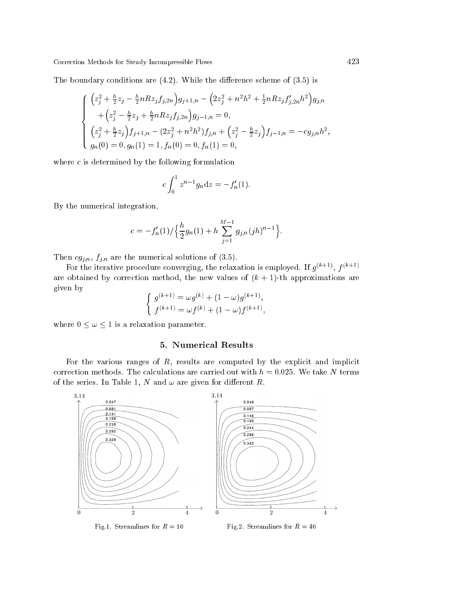Corre
tion Methods for Steady In
ompressible Flows 423

The boundary conditions are  $(4.2)$ . While the difference scheme of  $(3.5)$  is

$$
\begin{cases}\n\left(z_j^2 + \frac{h}{2}z_j - \frac{h}{2}nRz_jf_{j,2n}\right)g_{j+1,n} - \left(2z_j^2 + n^2h^2 + \frac{1}{2}nRz_jf'_{j,2n}h^2\right)g_{j,n} \\
+ \left(z_j^2 - \frac{h}{2}z_j + \frac{h}{2}nRz_jf_{j,2n}\right)g_{j-1,n} = 0, \\
\left(z_j^2 + \frac{h}{2}z_j\right)f_{j+1,n} - \left(2z_j^2 + n^2h^2\right)f_{j,n} + \left(z_j^2 - \frac{h}{2}z_j\right)f_{j-1,n} = -cg_{j,n}h^2 \\
g_n(0) = 0, g_n(1) = 1, f_n(0) = 0, f_n(1) = 0,\n\end{cases}
$$

where  $c$  is determined by the following formulation

$$
c \int_0^1 z^{n-1} g_n dz = -f'_n(1).
$$

By the numeri
al integration,

$$
c = -f'_n(1)/\Big\{\frac{h}{2}g_n(1) + h\sum_{j=1}^{M-1}g_{j,n}(jh)^{n-1}\Big\}.
$$

Then  $cg_{j,n}$ ,  $f_{j,n}$  are the numerical solutions of (3.5).

For the iterative procedure converging, the relaxation is employed. If  $q^{(k+1)}$ ,  $p^{(k+1)}$ are obtained by correction method, the new values of  $(k + 1)$ -th approximations are given by

$$
\begin{cases} g^{(k+1)} = \omega g^{(k)} + (1 - \omega)g^{(k+1)}, \\ f^{(k+1)} = \omega f^{(k)} + (1 - \omega)f^{(k+1)}, \end{cases}
$$

where  $0 \leq \omega \leq 1$  is a relaxation parameter.

## 5. Numeri
al Results

For the various ranges of  $R$ , results are computed by the explicit and implicit correction methods. The calculations are carried out with  $h = 0.025$ . We take N terms of the series. In Table 1, N and  $\omega$  are given for different R.



Fig.1. Streamlines for  $R = 10$ 

Fig.2. Streamlines for  $R = 40$